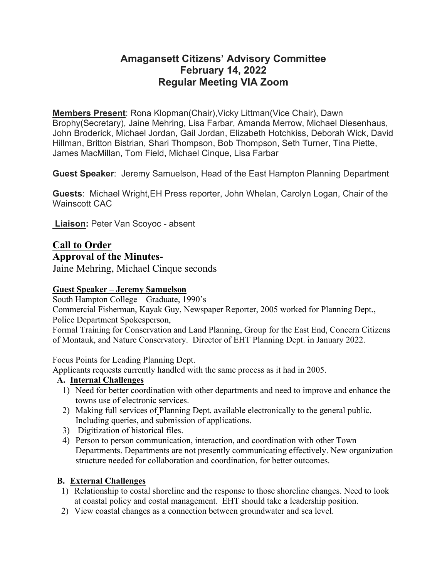## **Amagansett Citizens' Advisory Committee February 14, 2022 Regular Meeting VIA Zoom**

**Members Present**: Rona Klopman(Chair),Vicky Littman(Vice Chair), Dawn Brophy(Secretary), Jaine Mehring, Lisa Farbar, Amanda Merrow, Michael Diesenhaus, John Broderick, Michael Jordan, Gail Jordan, Elizabeth Hotchkiss, Deborah Wick, David Hillman, Britton Bistrian, Shari Thompson, Bob Thompson, Seth Turner, Tina Piette, James MacMillan, Tom Field, Michael Cinque, Lisa Farbar

**Guest Speaker**: Jeremy Samuelson, Head of the East Hampton Planning Department

**Guests**: Michael Wright,EH Press reporter, John Whelan, Carolyn Logan, Chair of the Wainscott CAC

**Liaison:** Peter Van Scoyoc - absent

# **Call to Order**

**Approval of the Minutes-**

Jaine Mehring, Michael Cinque seconds

## **Guest Speaker – Jeremy Samuelson**

South Hampton College – Graduate, 1990's

Commercial Fisherman, Kayak Guy, Newspaper Reporter, 2005 worked for Planning Dept., Police Department Spokesperson,

Formal Training for Conservation and Land Planning, Group for the East End, Concern Citizens of Montauk, and Nature Conservatory. Director of EHT Planning Dept. in January 2022.

## Focus Points for Leading Planning Dept.

Applicants requests currently handled with the same process as it had in 2005.

## **A. Internal Challenges**

- 1) Need for better coordination with other departments and need to improve and enhance the towns use of electronic services.
- 2) Making full services of Planning Dept. available electronically to the general public. Including queries, and submission of applications.
- 3) Digitization of historical files.
- 4) Person to person communication, interaction, and coordination with other Town Departments. Departments are not presently communicating effectively. New organization structure needed for collaboration and coordination, for better outcomes.

## **B. External Challenges**

- 1) Relationship to costal shoreline and the response to those shoreline changes. Need to look at coastal policy and costal management. EHT should take a leadership position.
- 2) View coastal changes as a connection between groundwater and sea level.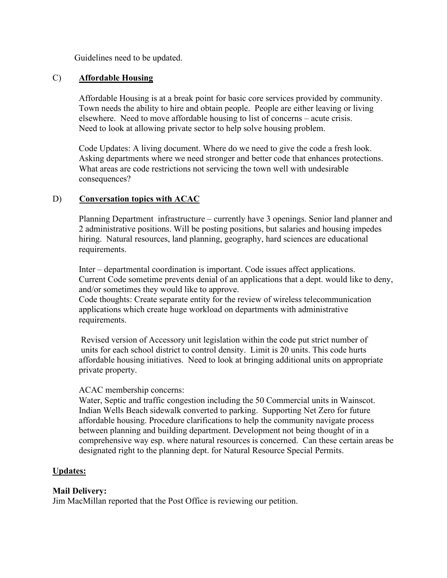Guidelines need to be updated.

### C) **Affordable Housing**

Affordable Housing is at a break point for basic core services provided by community. Town needs the ability to hire and obtain people. People are either leaving or living elsewhere. Need to move affordable housing to list of concerns – acute crisis. Need to look at allowing private sector to help solve housing problem.

Code Updates: A living document. Where do we need to give the code a fresh look. Asking departments where we need stronger and better code that enhances protections. What areas are code restrictions not servicing the town well with undesirable consequences?

## D) **Conversation topics with ACAC**

Planning Department infrastructure – currently have 3 openings. Senior land planner and 2 administrative positions. Will be posting positions, but salaries and housing impedes hiring. Natural resources, land planning, geography, hard sciences are educational requirements.

Inter – departmental coordination is important. Code issues affect applications. Current Code sometime prevents denial of an applications that a dept. would like to deny, and/or sometimes they would like to approve.

Code thoughts: Create separate entity for the review of wireless telecommunication applications which create huge workload on departments with administrative requirements.

Revised version of Accessory unit legislation within the code put strict number of units for each school district to control density. Limit is 20 units. This code hurts affordable housing initiatives. Need to look at bringing additional units on appropriate private property.

#### ACAC membership concerns:

Water, Septic and traffic congestion including the 50 Commercial units in Wainscot. Indian Wells Beach sidewalk converted to parking. Supporting Net Zero for future affordable housing. Procedure clarifications to help the community navigate process between planning and building department. Development not being thought of in a comprehensive way esp. where natural resources is concerned. Can these certain areas be designated right to the planning dept. for Natural Resource Special Permits.

#### **Updates:**

#### **Mail Delivery:**

Jim MacMillan reported that the Post Office is reviewing our petition.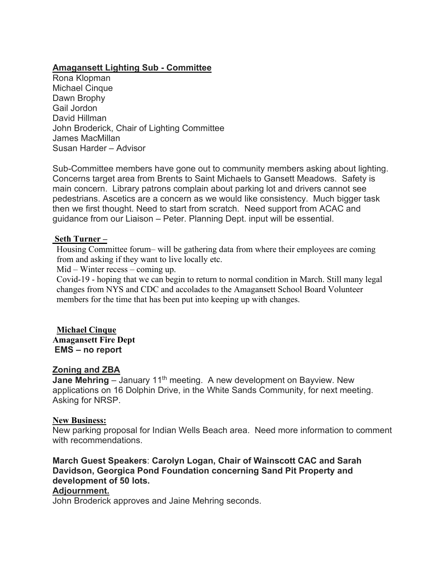## **Amagansett Lighting Sub - Committee**

Rona Klopman Michael Cinque Dawn Brophy Gail Jordon David Hillman John Broderick, Chair of Lighting Committee James MacMillan Susan Harder – Advisor

Sub-Committee members have gone out to community members asking about lighting. Concerns target area from Brents to Saint Michaels to Gansett Meadows. Safety is main concern. Library patrons complain about parking lot and drivers cannot see pedestrians. Ascetics are a concern as we would like consistency. Much bigger task then we first thought. Need to start from scratch. Need support from ACAC and guidance from our Liaison – Peter. Planning Dept. input will be essential.

#### **Seth Turner –**

Housing Committee forum– will be gathering data from where their employees are coming from and asking if they want to live locally etc.

Mid – Winter recess – coming up.

Covid-19 - hoping that we can begin to return to normal condition in March. Still many legal changes from NYS and CDC and accolades to the Amagansett School Board Volunteer members for the time that has been put into keeping up with changes.

**Michael Cinque Amagansett Fire Dept EMS – no report**

#### **Zoning and ZBA**

**Jane Mehring** – January 11<sup>th</sup> meeting. A new development on Bayview. New applications on 16 Dolphin Drive, in the White Sands Community, for next meeting. Asking for NRSP.

#### **New Business:**

New parking proposal for Indian Wells Beach area. Need more information to comment with recommendations.

**March Guest Speakers**: **Carolyn Logan, Chair of Wainscott CAC and Sarah Davidson, Georgica Pond Foundation concerning Sand Pit Property and development of 50 lots. Adjournment.**

John Broderick approves and Jaine Mehring seconds.